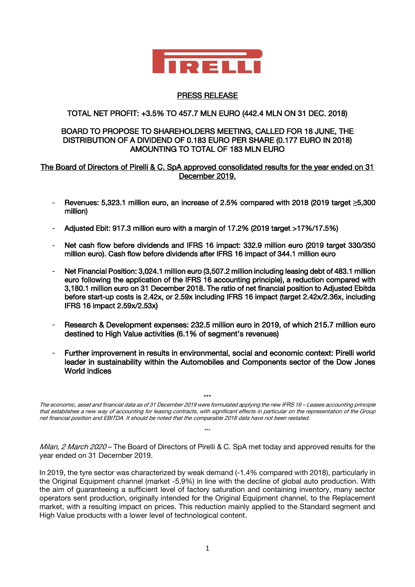

# PRESS RELEASE

# TOTAL NET PROFIT: +3.5% TO 457.7 MLN EURO (442.4 MLN ON 31 DEC. 2018)

### BOARD TO PROPOSE TO SHAREHOLDERS MEETING, CALLED FOR 18 JUNE, THE DISTRIBUTION OF A DIVIDEND OF 0.183 EURO PER SHARE (0.177 EURO IN 2018) AMOUNTING TO TOTAL OF 183 MLN EURO

### The Board of Directors of Pirelli & C. SpA approved consolidated results for the year ended on 31 December 2019.

- Revenues: 5,323.1 million euro, an increase of 2.5% compared with 2018 (2019 target **≥**5,300 million)
- Adjusted Ebit: 917.3 million euro with a margin of 17.2% (2019 target >17%/17.5%)
- Net cash flow before dividends and IFRS 16 impact: 332.9 million euro (2019 target 330/350 million euro). Cash flow before dividends after IFRS 16 impact of 344.1 million euro
- Net Financial Position: 3,024.1 million euro (3,507.2 million including leasing debt of 483.1 million euro following the application of the IFRS 16 accounting principle), a reduction compared with 3,180.1 million euro on 31 December 2018. The ratio of net financial position to Adjusted Ebitda before start-up costs is 2.42x, or 2.59x including IFRS 16 impact (target 2.42x/2.36x, including IFRS 16 impact 2.59x/2.53x)
- Research & Development expenses: 232.5 million euro in 2019, of which 215.7 million euro destined to High Value activities (6.1% of segment's revenues)
- Further improvement in results in environmental, social and economic context: Pirelli world leader in sustainability within the Automobiles and Components sector of the Dow Jones World indices

The economic, asset and financial data as of 31 December 2019 were formulated applying the new IFRS 16 – Leases accounting principle that establishes a new way of accounting for leasing contracts, with significant effects in particular on the representation of the Group net financial position and EBITDA. It should be noted that the comparable 2018 data have not been restated.

\*\*\*

Milan, 2 March 2020 – The Board of Directors of Pirelli & C. SpA met today and approved results for the year ended on 31 December 2019.

\*\*\*

In 2019, the tyre sector was characterized by weak demand  $(-1.4\%$  compared with 2018), particularly in the Original Equipment channel (market -5.9%) in line with the decline of global auto production. With the aim of guaranteeing a sufficient level of factory saturation and containing inventory, many sector operators sent production, originally intended for the Original Equipment channel, to the Replacement market, with a resulting impact on prices. This reduction mainly applied to the Standard segment and High Value products with a lower level of technological content.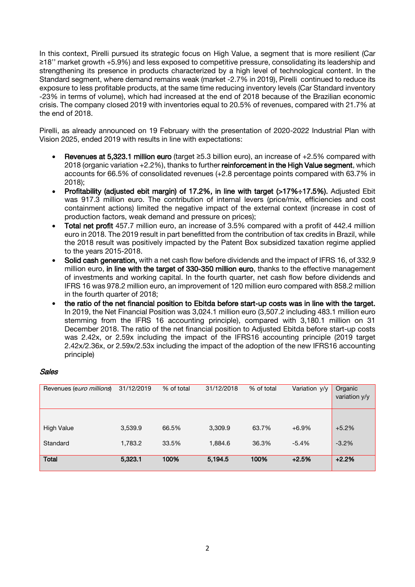In this context, Pirelli pursued its strategic focus on High Value, a segment that is more resilient (Car ≥18'' market growth +5.9%) and less exposed to competitive pressure, consolidating its leadership and strengthening its presence in products characterized by a high level of technological content. In the Standard segment, where demand remains weak (market -2.7% in 2019), Pirelli continued to reduce its exposure to less profitable products, at the same time reducing inventory levels (Car Standard inventory -23% in terms of volume), which had increased at the end of 2018 because of the Brazilian economic crisis. The company closed 2019 with inventories equal to 20.5% of revenues, compared with 21.7% at the end of 2018.

Pirelli, as already announced on 19 February with the presentation of 2020-2022 Industrial Plan with Vision 2025, ended 2019 with results in line with expectations:

- Revenues at 5,323.1 million euro (target ≥5.3 billion euro), an increase of +2.5% compared with 2018 (organic variation +2.2%), thanks to further reinforcement in the High Value segment, which accounts for 66.5% of consolidated revenues (+2.8 percentage points compared with 63.7% in 2018);
- Profitability (adjusted ebit margin) of 17.2%, in line with target (>17%÷17.5%). Adjusted Ebit was 917.3 million euro. The contribution of internal levers (price/mix, efficiencies and cost containment actions) limited the negative impact of the external context (increase in cost of production factors, weak demand and pressure on prices);
- Total net profit 457.7 million euro, an increase of 3.5% compared with a profit of 442.4 million euro in 2018. The 2019 result in part benefitted from the contribution of tax credits in Brazil, while the 2018 result was positively impacted by the Patent Box subsidized taxation regime applied to the years 2015-2018.
- Solid cash generation, with a net cash flow before dividends and the impact of IFRS 16, of 332.9 million euro, in line with the target of 330-350 million euro, thanks to the effective management of investments and working capital. In the fourth quarter, net cash flow before dividends and IFRS 16 was 978.2 million euro, an improvement of 120 million euro compared with 858.2 million in the fourth quarter of 2018;
- the ratio of the net financial position to Ebitda before start-up costs was in line with the target. In 2019, the Net Financial Position was 3,024.1 million euro (3,507.2 including 483.1 million euro stemming from the IFRS 16 accounting principle), compared with 3,180.1 million on 31 December 2018. The ratio of the net financial position to Adjusted Ebitda before start-up costs was 2.42x, or 2.59x including the impact of the IFRS16 accounting principle (2019 target 2.42x/2.36x, or 2.59x/2.53x including the impact of the adoption of the new IFRS16 accounting principle)

## Sales

| Revenues (euro millions) | 31/12/2019 | % of total | 31/12/2018 | % of total | Variation y/y | Organic<br>variation y/y |
|--------------------------|------------|------------|------------|------------|---------------|--------------------------|
|                          |            |            |            |            |               |                          |
| <b>High Value</b>        | 3,539.9    | 66.5%      | 3,309.9    | 63.7%      | $+6.9%$       | $+5.2%$                  |
| Standard                 | 1,783.2    | 33.5%      | 1,884.6    | 36.3%      | $-5.4%$       | $-3.2%$                  |
| <b>Total</b>             | 5,323.1    | 100%       | 5.194.5    | 100%       | $+2.5%$       | $+2.2%$                  |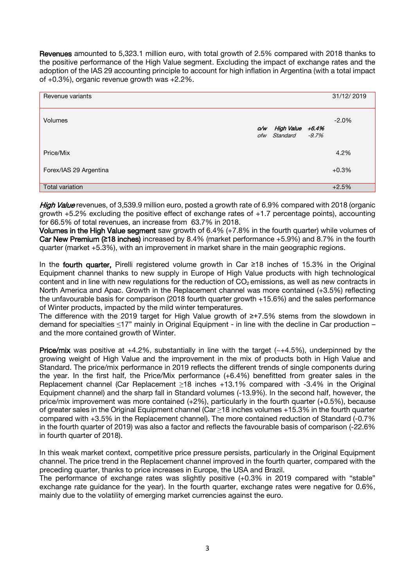Revenues amounted to 5,323.1 million euro, with total growth of 2.5% compared with 2018 thanks to the positive performance of the High Value segment. Excluding the impact of exchange rates and the adoption of the IAS 29 accounting principle to account for high inflation in Argentina (with a total impact of +0.3%), organic revenue growth was +2.2%.

| Revenue variants       |     |                                        | 31/12/2019 |
|------------------------|-----|----------------------------------------|------------|
| <b>Volumes</b>         | o/w | High Value +6.4%<br>ofw Standard -9.7% | $-2.0%$    |
| Price/Mix              |     |                                        | 4.2%       |
| Forex/IAS 29 Argentina |     |                                        | $+0.3%$    |
| Total variation        |     |                                        | $+2.5%$    |

High Value revenues, of 3,539.9 million euro, posted a growth rate of 6.9% compared with 2018 (organic growth +5.2% excluding the positive effect of exchange rates of +1.7 percentage points), accounting for 66.5% of total revenues, an increase from 63.7% in 2018.

Volumes in the High Value segment saw growth of 6.4% (+7.8% in the fourth quarter) while volumes of Car New Premium (**≥**18 inches) increased by 8.4% (market performance +5.9%) and 8.7% in the fourth quarter (market +5.3%), with an improvement in market share in the main geographic regions.

In the fourth quarter. Pirelli registered volume growth in Car ≥18 inches of 15.3% in the Original Equipment channel thanks to new supply in Europe of High Value products with high technological content and in line with new regulations for the reduction of  $CO<sub>2</sub>$  emissions, as well as new contracts in North America and Apac. Growth in the Replacement channel was more contained (+3.5%) reflecting the unfavourable basis for comparison (2018 fourth quarter growth +15.6%) and the sales performance of Winter products, impacted by the mild winter temperatures.

The difference with the 2019 target for High Value growth of ≥+7.5% stems from the slowdown in demand for specialties ≤17" mainly in Original Equipment - in line with the decline in Car production – and the more contained growth of Winter.

**Price/mix** was positive at  $+4.2\%$ , substantially in line with the target ( $-+4.5\%$ ), underpinned by the growing weight of High Value and the improvement in the mix of products both in High Value and Standard. The price/mix performance in 2019 reflects the different trends of single components during the year. In the first half, the Price/Mix performance (+6.4%) benefitted from greater sales in the Replacement channel (Car Replacement ≥18 inches +13.1% compared with -3.4% in the Original Equipment channel) and the sharp fall in Standard volumes (-13.9%). In the second half, however, the price/mix improvement was more contained  $(+2%)$ , particularly in the fourth quarter  $(+0.5%)$ , because of greater sales in the Original Equipment channel (Car ≥18 inches volumes +15.3% in the fourth quarter compared with +3.5% in the Replacement channel). The more contained reduction of Standard (-0.7% in the fourth quarter of 2019) was also a factor and reflects the favourable basis of comparison (-22.6% in fourth quarter of 2018).

In this weak market context, competitive price pressure persists, particularly in the Original Equipment channel. The price trend in the Replacement channel improved in the fourth quarter, compared with the preceding quarter, thanks to price increases in Europe, the USA and Brazil.

The performance of exchange rates was slightly positive (+0.3% in 2019 compared with "stable" exchange rate guidance for the year). In the fourth quarter, exchange rates were negative for 0.6%, mainly due to the volatility of emerging market currencies against the euro.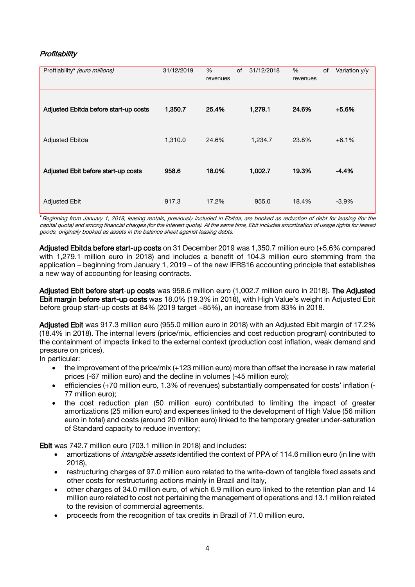# **Profitability**

| Proftiability* (euro millions)        | 31/12/2019 | $\%$<br>revenues | of | 31/12/2018 | %<br>revenues | of | Variation y/y |
|---------------------------------------|------------|------------------|----|------------|---------------|----|---------------|
| Adjusted Ebitda before start-up costs | 1,350.7    | 25.4%            |    | 1,279.1    | 24.6%         |    | $+5.6%$       |
| <b>Adjusted Ebitda</b>                | 1,310.0    | 24.6%            |    | 1,234.7    | 23.8%         |    | $+6.1%$       |
| Adjusted Ebit before start-up costs   | 958.6      | 18.0%            |    | 1,002.7    | 19.3%         |    | $-4.4%$       |
| <b>Adjusted Ebit</b>                  | 917.3      | 17.2%            |    | 955.0      | 18.4%         |    | $-3.9\%$      |

\*Beginning from January 1, 2019, leasing rentals, previously included in Ebitda, are booked as reduction of debt for leasing (for the capital quota) and among financial charges (for the interest quota). At the same time, Ebit includes amortization of usage rights for leased goods, originally booked as assets in the balance sheet against leasing debts.

Adjusted Ebitda before start-up costs on 31 December 2019 was 1,350.7 million euro (+5.6% compared with 1,279.1 million euro in 2018) and includes a benefit of 104.3 million euro stemming from the application – beginning from January 1, 2019 – of the new IFRS16 accounting principle that establishes a new way of accounting for leasing contracts.

Adjusted Ebit before start-up costs was 958.6 million euro (1,002.7 million euro in 2018). The Adjusted Ebit margin before start-up costs was 18.0% (19.3% in 2018), with High Value's weight in Adjusted Ebit before group start-up costs at 84% (2019 target ~85%), an increase from 83% in 2018.

Adjusted Ebit was 917.3 million euro (955.0 million euro in 2018) with an Adjusted Ebit margin of 17.2% (18.4% in 2018). The internal levers (price/mix, efficiencies and cost reduction program) contributed to the containment of impacts linked to the external context (production cost inflation, weak demand and pressure on prices).

In particular:

- the improvement of the price/mix (+123 million euro) more than offset the increase in raw material prices (-67 million euro) and the decline in volumes (-45 million euro);
- efficiencies (+70 million euro, 1.3% of revenues) substantially compensated for costs' inflation (- 77 million euro);
- the cost reduction plan (50 million euro) contributed to limiting the impact of greater amortizations (25 million euro) and expenses linked to the development of High Value (56 million euro in total) and costs (around 20 million euro) linked to the temporary greater under-saturation of Standard capacity to reduce inventory;

Ebit was 742.7 million euro (703.1 million in 2018) and includes:

- amortizations of *intangible assets* identified the context of PPA of 114.6 million euro (in line with 2018),
- restructuring charges of 97.0 million euro related to the write-down of tangible fixed assets and other costs for restructuring actions mainly in Brazil and Italy,
- other charges of 34.0 million euro, of which 6.9 million euro linked to the retention plan and 14 million euro related to cost not pertaining the management of operations and 13.1 million related to the revision of commercial agreements.
- proceeds from the recognition of tax credits in Brazil of 71.0 million euro.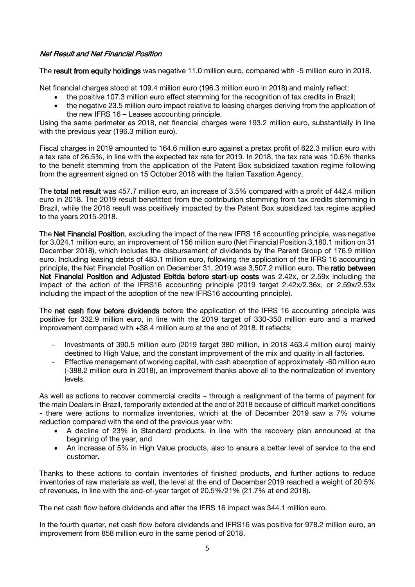# Net Result and Net Financial Position

The result from equity holdings was negative 11.0 million euro, compared with -5 million euro in 2018.

Net financial charges stood at 109.4 million euro (196.3 million euro in 2018) and mainly reflect:

- the positive 107.3 million euro effect stemming for the recognition of tax credits in Brazil;
- the negative 23.5 million euro impact relative to leasing charges deriving from the application of the new IFRS 16 – Leases accounting principle.

Using the same perimeter as 2018, net financial charges were 193.2 million euro, substantially in line with the previous year (196.3 million euro).

Fiscal charges in 2019 amounted to 164.6 million euro against a pretax profit of 622.3 million euro with a tax rate of 26.5%, in line with the expected tax rate for 2019. In 2018, the tax rate was 10.6% thanks to the benefit stemming from the application of the Patent Box subsidized taxation regime following from the agreement signed on 15 October 2018 with the Italian Taxation Agency.

The total net result was 457.7 million euro, an increase of 3.5% compared with a profit of 442.4 million euro in 2018. The 2019 result benefitted from the contribution stemming from tax credits stemming in Brazil, while the 2018 result was positively impacted by the Patent Box subsidized tax regime applied to the years 2015-2018.

The Net Financial Position, excluding the impact of the new IFRS 16 accounting principle, was negative for 3,024.1 million euro, an improvement of 156 million euro (Net Financial Position 3,180.1 million on 31 December 2018), which includes the disbursement of dividends by the Parent Group of 176.9 million euro. Including leasing debts of 483.1 million euro, following the application of the IFRS 16 accounting principle, the Net Financial Position on December 31, 2019 was 3,507.2 million euro. The ratio between Net Financial Position and Adjusted Ebitda before start-up costs was 2.42x, or 2.59x including the impact of the action of the IFRS16 accounting principle (2019 target 2.42x/2.36x, or 2.59x/2.53x including the impact of the adoption of the new IFRS16 accounting principle).

The net cash flow before dividends before the application of the IFRS 16 accounting principle was positive for 332.9 million euro, in line with the 2019 target of 330-350 million euro and a marked improvement compared with +38.4 million euro at the end of 2018. It reflects:

- Investments of 390.5 million euro (2019 target 380 million, in 2018 463.4 million euro) mainly destined to High Value, and the constant improvement of the mix and quality in all factories.
- Effective management of working capital, with cash absorption of approximately -60 million euro (-388.2 million euro in 2018), an improvement thanks above all to the normalization of inventory levels.

As well as actions to recover commercial credits – through a realignment of the terms of payment for the main Dealers in Brazil, temporarily extended at the end of 2018 because of difficult market conditions - there were actions to normalize inventories, which at the of December 2019 saw a 7% volume reduction compared with the end of the previous year with:

- A decline of 23% in Standard products, in line with the recovery plan announced at the beginning of the year, and
- An increase of 5% in High Value products, also to ensure a better level of service to the end customer.

Thanks to these actions to contain inventories of finished products, and further actions to reduce inventories of raw materials as well, the level at the end of December 2019 reached a weight of 20.5% of revenues, in line with the end-of-year target of 20.5%/21% (21.7% at end 2018).

The net cash flow before dividends and after the IFRS 16 impact was 344.1 million euro.

In the fourth quarter, net cash flow before dividends and IFRS16 was positive for 978.2 million euro, an improvement from 858 million euro in the same period of 2018.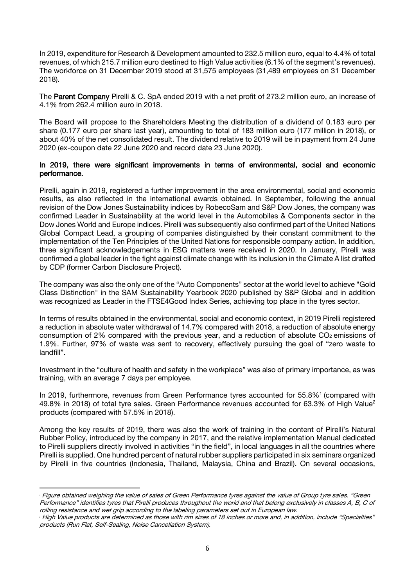In 2019, expenditure for Research & Development amounted to 232.5 million euro, equal to 4.4% of total revenues, of which 215.7 million euro destined to High Value activities (6.1% of the segment's revenues). The workforce on 31 December 2019 stood at 31,575 employees (31,489 employees on 31 December 2018).

The Parent Company Pirelli & C. SpA ended 2019 with a net profit of 273.2 million euro, an increase of 4.1% from 262.4 million euro in 2018.

The Board will propose to the Shareholders Meeting the distribution of a dividend of 0.183 euro per share (0.177 euro per share last year), amounting to total of 183 million euro (177 million in 2018), or about 40% of the net consolidated result. The dividend relative to 2019 will be in payment from 24 June 2020 (ex-coupon date 22 June 2020 and record date 23 June 2020).

### In 2019, there were significant improvements in terms of environmental, social and economic performance.

Pirelli, again in 2019, registered a further improvement in the area environmental, social and economic results, as also reflected in the international awards obtained. In September, following the annual revision of the Dow Jones Sustainability indices by RobecoSam and S&P Dow Jones, the company was confirmed Leader in Sustainability at the world level in the Automobiles & Components sector in the Dow Jones World and Europe indices. Pirelli was subsequently also confirmed part of the United Nations Global Compact Lead, a grouping of companies distinguished by their constant commitment to the implementation of the Ten Principles of the United Nations for responsible company action. In addition, three significant acknowledgements in ESG matters were received in 2020. In January, Pirelli was confirmed a global leader in the fight against climate change with its inclusion in the Climate A list drafted by CDP (former Carbon Disclosure Project).

The company was also the only one of the "Auto Components" sector at the world level to achieve "Gold Class Distinction" in the SAM Sustainability Yearbook 2020 published by S&P Global and in addition was recognized as Leader in the FTSE4Good Index Series, achieving top place in the tyres sector.

In terms of results obtained in the environmental, social and economic context, in 2019 Pirelli registered a reduction in absolute water withdrawal of 14.7% compared with 2018, a reduction of absolute energy consumption of 2% compared with the previous year, and a reduction of absolute  $CO<sub>2</sub>$  emissions of 1.9%. Further, 97% of waste was sent to recovery, effectively pursuing the goal of "zero waste to landfill".

Investment in the "culture of health and safety in the workplace" was also of primary importance, as was training, with an average 7 days per employee.

In 2019, furthermore, revenues from Green Performance tyres accounted for 55.8%<sup>1</sup> (compared with 49.8% in 2018) of total tyre sales. Green Performance revenues accounted for 63.3% of High Value<sup>2</sup> products (compared with 57.5% in 2018).

Among the key results of 2019, there was also the work of training in the content of Pirelli's Natural Rubber Policy, introduced by the company in 2017, and the relative implementation Manual dedicated to Pirelli suppliers directly involved in activities "in the field", in local languages in all the countries where Pirelli is supplied. One hundred percent of natural rubber suppliers participated in six seminars organized by Pirelli in five countries (Indonesia, Thailand, Malaysia, China and Brazil). On several occasions,

<sup>1</sup> <sup>1</sup> Figure obtained weighing the value of sales of Green Performance tyres against the value of Group tyre sales. "Green Performance" identifies tyres that Pirelli produces throughout the world and that belong exclusively in classes A, B, C of rolling resistance and wet grip according to the labeling parameters set out in European law.

<sup>2</sup> High Value products are determined as those with rim sizes of 18 inches or more and, in addition, include "Specialties" products (Run Flat, Self-Sealing, Noise Cancellation System).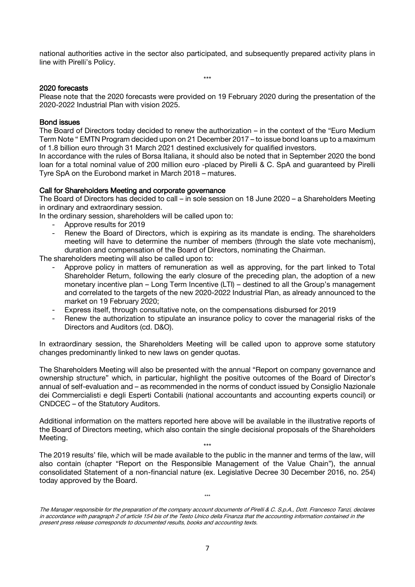national authorities active in the sector also participated, and subsequently prepared activity plans in line with Pirelli's Policy.

\*\*\*

#### 2020 forecasts

Please note that the 2020 forecasts were provided on 19 February 2020 during the presentation of the 2020-2022 Industrial Plan with vision 2025.

#### Bond issues

The Board of Directors today decided to renew the authorization – in the context of the "Euro Medium Term Note " EMTN Program decided upon on 21 December 2017 – to issue bond loans up to a maximum of 1.8 billion euro through 31 March 2021 destined exclusively for qualified investors.

In accordance with the rules of Borsa Italiana, it should also be noted that in September 2020 the bond loan for a total nominal value of 200 million euro -placed by Pirelli & C. SpA and guaranteed by Pirelli Tyre SpA on the Eurobond market in March 2018 – matures.

#### Call for Shareholders Meeting and corporate governance

The Board of Directors has decided to call – in sole session on 18 June 2020 – a Shareholders Meeting in ordinary and extraordinary session.

In the ordinary session, shareholders will be called upon to:

- Approve results for 2019
- Renew the Board of Directors, which is expiring as its mandate is ending. The shareholders meeting will have to determine the number of members (through the slate vote mechanism), duration and compensation of the Board of Directors, nominating the Chairman.

The shareholders meeting will also be called upon to:

- Approve policy in matters of remuneration as well as approving, for the part linked to Total Shareholder Return, following the early closure of the preceding plan, the adoption of a new monetary incentive plan – Long Term Incentive (LTI) – destined to all the Group's management and correlated to the targets of the new 2020-2022 Industrial Plan, as already announced to the market on 19 February 2020;
- Express itself, through consultative note, on the compensations disbursed for 2019
- Renew the authorization to stipulate an insurance policy to cover the managerial risks of the Directors and Auditors (cd. D&O).

In extraordinary session, the Shareholders Meeting will be called upon to approve some statutory changes predominantly linked to new laws on gender quotas.

The Shareholders Meeting will also be presented with the annual "Report on company governance and ownership structure" which, in particular, highlight the positive outcomes of the Board of Director's annual of self-evaluation and – as recommended in the norms of conduct issued by Consiglio Nazionale dei Commercialisti e degli Esperti Contabili (national accountants and accounting experts council) or CNDCEC – of the Statutory Auditors.

Additional information on the matters reported here above will be available in the illustrative reports of the Board of Directors meeting, which also contain the single decisional proposals of the Shareholders Meeting.

\*\*\* The 2019 results' file, which will be made available to the public in the manner and terms of the law, will also contain (chapter "Report on the Responsible Management of the Value Chain"), the annual consolidated Statement of a non-financial nature (ex. Legislative Decree 30 December 2016, no. 254) today approved by the Board.

\*\*\*

The Manager responsible for the preparation of the company account documents of Pirelli & C. S.p.A., Dott. Francesco Tanzi, declares in accordance with paragraph 2 of article 154 bis of the Testo Unico della Finanza that the accounting information contained in the present press release corresponds to documented results, books and accounting texts.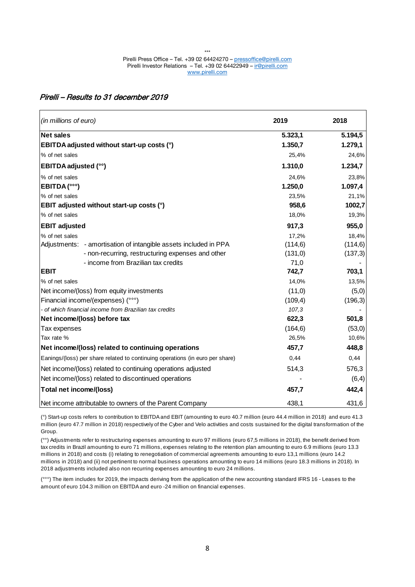### Pirelli – Results to 31 december 2019

| (in millions of euro)                                                         | 2019     | 2018     |
|-------------------------------------------------------------------------------|----------|----------|
| <b>Net sales</b>                                                              | 5.323,1  | 5.194,5  |
| EBITDA adjusted without start-up costs (°)                                    | 1.350,7  | 1.279,1  |
| % of net sales                                                                | 25,4%    | 24,6%    |
| <b>EBITDA</b> adjusted (°°)                                                   | 1.310,0  | 1.234,7  |
| % of net sales                                                                | 24,6%    | 23,8%    |
| EBITDA(°°°)                                                                   | 1.250,0  | 1.097,4  |
| % of net sales                                                                | 23,5%    | 21,1%    |
| EBIT adjusted without start-up costs (°)                                      | 958,6    | 1002,7   |
| % of net sales                                                                | 18,0%    | 19,3%    |
| <b>EBIT adjusted</b>                                                          | 917,3    | 955,0    |
| % of net sales                                                                | 17,2%    | 18,4%    |
| Adjustments: - amortisation of intangible assets included in PPA              | (114, 6) | (114, 6) |
| - non-recurring, restructuring expenses and other                             | (131, 0) | (137,3)  |
| - income from Brazilian tax credits                                           | 71,0     |          |
| <b>EBIT</b>                                                                   | 742,7    | 703,1    |
| % of net sales                                                                | 14,0%    | 13,5%    |
| Net income/(loss) from equity investments                                     | (11,0)   | (5,0)    |
| Financial income/(expenses) (°°°)                                             | (109,4)  | (196, 3) |
| - of which financial income from Brazilian tax credits                        | 107,3    |          |
| Net income/(loss) before tax                                                  | 622,3    | 501,8    |
| Tax expenses                                                                  | (164, 6) | (53,0)   |
| Tax rate %                                                                    | 26,5%    | 10,6%    |
| Net income/(loss) related to continuing operations                            | 457,7    | 448,8    |
| Eanings/(loss) per share related to continuing operations (in euro per share) | 0,44     | 0,44     |
| Net income/(loss) related to continuing operations adjusted                   | 514,3    | 576,3    |
| Net income/(loss) related to discontinued operations                          |          | (6, 4)   |
| <b>Total net income/(loss)</b>                                                | 457,7    | 442,4    |
| Net income attributable to owners of the Parent Company                       | 438,1    | 431,6    |

(°) Start-up costs refers to contribution to EBITDA and EBIT (amounting to euro 40.7 million (euro 44.4 million in 2018) and euro 41.3 million (euro 47.7 million in 2018) respectively of the Cyber and Velo activities and costs sustained for the digital transformation of the Group.

(°°) Adjustments refer to restructuring expenses amounting to euro 97 millions (euro 67,5 millions in 2018), the benefit derived from tax credits in Brazil amounting to euro 71 millions, expenses relating to the retention plan amounting to euro 6.9 millions (euro 13.3 millions in 2018) and costs (i) relating to renegotiation of commercial agreements amounting to euro 13,1 millions (euro 14.2 millions in 2018) and (ii) not pertinent to normal business operations amounting to euro 14 millions (euro 18.3 millions in 2018). In 2018 adjustments included also non recurring expenses amounting to euro 24 millions.

(°°°) The item includes for 2019, the impacts deriving from the application of the new accounting standard IFRS 16 - Leases to the amount of euro 104.3 million on EBITDA and euro -24 million on financial expenses.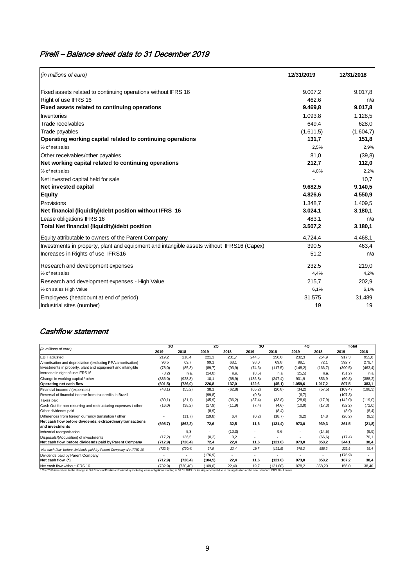# Pirelli – Balance sheet data to 31 December 2019

| (in millions of euro)                                                                     | 12/31/2019 | 12/31/2018 |
|-------------------------------------------------------------------------------------------|------------|------------|
| Fixed assets related to continuing operations without IFRS 16                             | 9.007.2    | 9.017,8    |
| Right of use IFRS 16                                                                      | 462.6      | n/a        |
| Fixed assets related to continuing operations                                             | 9.469,8    | 9.017,8    |
| Inventories                                                                               | 1.093,8    | 1.128,5    |
| Trade receivables                                                                         | 649.4      | 628,0      |
| Trade payables                                                                            | (1.611, 5) | (1.604,7)  |
| Operating working capital related to continuing operations                                | 131,7      | 151,8      |
| % of net sales                                                                            | 2,5%       | 2,9%       |
| Other receivables/other payables                                                          | 81.0       | (39,8)     |
| Net working capital related to continuing operations                                      | 212.7      | 112,0      |
| % of net sales                                                                            | 4,0%       | 2,2%       |
| Net invested capital held for sale                                                        |            | 10,7       |
| <b>Net invested capital</b>                                                               | 9.682,5    | 9.140,5    |
| <b>Equity</b>                                                                             | 4.826,6    | 4.550,9    |
| Provisions                                                                                | 1.348.7    | 1.409.5    |
| Net financial (liquidity)/debt position without IFRS 16                                   | 3.024,1    | 3.180,1    |
| Lease obligations IFRS 16                                                                 | 483.1      | n/a        |
| Total Net financial (liquidity)/debt position                                             | 3.507,2    | 3.180,1    |
| Equity attributable to owners of the Parent Company                                       | 4.724,4    | 4.468,1    |
| Investments in property, plant and equipment and intangible assets without IFRS16 (Capex) | 390,5      | 463,4      |
| Increases in Rights of use IFRS16                                                         | 51,2       | n/a        |
| Research and development expenses                                                         | 232,5      | 219,0      |
| % of net sales                                                                            | 4,4%       | 4,2%       |
| Research and development expenses - High Value                                            | 215,7      | 202,9      |
| % on sales High Value                                                                     | 6,1%       | 6,1%       |
| Employees (headcount at end of period)                                                    | 31.575     | 31.489     |
| Industrial sites (number)                                                                 | 19         | 19         |

# Cashflow statement

|                                                                               | 10       |                          | 20       |                          | 3Q       |           | 4Q       |                          | Total    |          |
|-------------------------------------------------------------------------------|----------|--------------------------|----------|--------------------------|----------|-----------|----------|--------------------------|----------|----------|
| (in millions of euro)                                                         | 2019     | 2018                     | 2019     | 2018                     | 2019     | 2018      | 2019     | 2018                     | 2019     | 2018     |
| <b>EBIT</b> adjusted                                                          | 219.2    | 218,4                    | 221,3    | 231.7                    | 244,5    | 250,0     | 232,3    | 254,9                    | 917.3    | 955,0    |
| Amortisation and depreciation (excluding PPA amortisation)                    | 96,5     | 69,7                     | 99,1     | 68.1                     | 98,0     | 69.8      | 99,1     | 72.1                     | 392,7    | 279,7    |
| Investments in property, plant and equipment and intangible                   | (78, 0)  | (85,3)                   | (89,7)   | (93, 9)                  | (74, 6)  | (117,5)   | (148, 2) | (166, 7)                 | (390.5)  | (463, 4) |
| Increase in right of use IFRS16                                               | (3,2)    | n.a.                     | (14,0)   | n.a.                     | (8,5)    | n.a.      | (25, 5)  | n.a.                     | (51,2)   | n.a.     |
| Change in working capital / other                                             | (836, 0) | (928, 8)                 | 10,1     | (68, 9)                  | (136, 8) | (247, 4)  | 901.9    | 856.9                    | (60, 8)  | (388, 2) |
| Operating net cash flow                                                       | (601, 5) | (726, 0)                 | 226,8    | 137,0                    | 122,6    | (45,1)    | 1.059,6  | 1.017,2                  | 807.5    | 383,1    |
| Financial income / (expenses)                                                 | (48,1)   | (55,2)                   | 38.1     | (62,8)                   | (65,2)   | (20, 8)   | (34,2)   | (57, 5)                  | (109.4)  | (196, 3) |
| Reversal of financial income from tax credits in Brazil                       |          |                          | (99,8)   | $\overline{\phantom{a}}$ | (0,8)    | ٠         | (6,7)    | $\overline{\phantom{a}}$ | (107, 3) |          |
| Taxes paid                                                                    | (30,1)   | (31,1)                   | (45, 9)  | (36,2)                   | (37, 4)  | (33,8)    | (28, 6)  | (17.9)                   | (142,0)  | (119,0)  |
| Cash Out for non-recurring and restructuring expenses / other                 | (16, 0)  | (38,2)                   | (17,9)   | (11,9)                   | (7, 4)   | (4,6)     | (10.9)   | (17,3)                   | (52,2)   | (72,0)   |
| Other dividends paid                                                          |          |                          | (8,9)    | $\overline{\phantom{a}}$ |          | (8, 4)    |          |                          | (8,9)    | (8, 4)   |
| Differences from foreign currency translation / other                         |          | (11,7)                   | (19,8)   | 6,4                      | (0,2)    | (18,7)    | (6,2)    | 14.8                     | (26,2)   | (9,2)    |
| Net cash flow before dividends, extraordinary transactions<br>and investments | (695,7)  | (862, 2)                 | 72,6     | 32.5                     | 11,6     | (131,4)   | 973.0    | 939.3                    | 361.5    | (21, 8)  |
| Industrial reorganisation                                                     |          | 5.3                      | ٠        | (10,3)                   | ٠        | 9.6       |          | (14,5)                   | ٠        | (9, 9)   |
| Disposals/(Acquisition) of investments                                        | (17,2)   | 136,5                    | (0,2)    | 0,2                      |          |           |          | (66, 6)                  | (17, 4)  | 70,1     |
| Net cash flow before dividends paid by Parent Company                         | (712,9)  | (720, 4)                 | 72,4     | 22,4                     | 11.6     | (121, 8)  | 973.0    | 858.2                    | 344.1    | 38,4     |
| Net cash flow before dividends paid by Parent Company w/o IFRS 16             | (732, 9) | (720.4)                  | 67.9     | 22.4                     | 19.7     | (121, 8)  | 978.2    | 858.2                    | 332,9    | 38.4     |
| Dividends paid by Parent Company                                              |          | $\overline{\phantom{a}}$ | (176.9)  | $\overline{\phantom{a}}$ | ٠        | ٠         |          |                          | (176.9)  |          |
| Net cash flow (*)                                                             | (712, 9) | (720, 4)                 | (104, 5) | 22.4                     | 11.6     | (121, 8)  | 973.0    | 858.2                    | 167.2    | 38,4     |
| Net cash flow without IFRS 16                                                 | (732, 9) | (720, 40)                | (109, 0) | 22.40                    | 19.7     | (121, 80) | 978,2    | 858,20                   | 156.0    | 38,40    |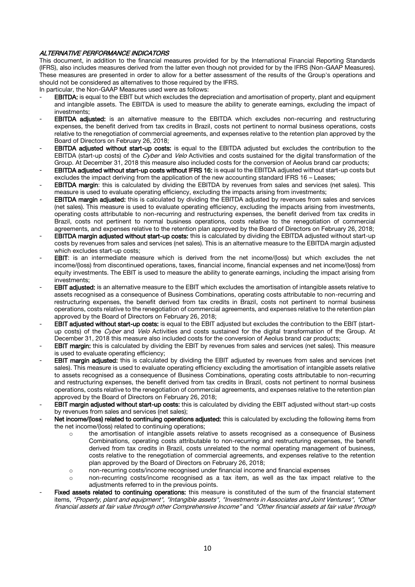#### ALTERNATIVE PERFORMANCE INDICATORS

This document, in addition to the financial measures provided for by the International Financial Reporting Standards (IFRS), also includes measures derived from the latter even though not provided for by the IFRS (Non-GAAP Measures). These measures are presented in order to allow for a better assessment of the results of the Group's operations and should not be considered as alternatives to those required by the IFRS.

In particular, the Non-GAAP Measures used were as follows:

- **EBITDA:** is equal to the EBIT but which excludes the depreciation and amortisation of property, plant and equipment and intangible assets. The EBITDA is used to measure the ability to generate earnings, excluding the impact of investments;
- **EBITDA adjusted:** is an alternative measure to the EBITDA which excludes non-recurring and restructuring expenses, the benefit derived from tax credits in Brazil, costs not pertinent to normal business operations, costs relative to the renegotiation of commercial agreements, and expenses relative to the retention plan approved by the Board of Directors on February 26, 2018;
- EBITDA adjusted without start-up costs: is equal to the EBITDA adjusted but excludes the contribution to the EBITDA (start-up costs) of the Cyber and Velo Activities and costs sustained for the digital transformation of the Group. At December 31, 2018 this measure also included costs for the conversion of Aeolus brand car products;
- EBITDA adjusted without start-up costs without IFRS 16: is equal to the EBITDA adjusted without start-up costs but excludes the impact deriving from the application of the new accounting standard IFRS 16 – Leases;
- EBITDA margin: this is calculated by dividing the EBITDA by revenues from sales and services (net sales). This measure is used to evaluate operating efficiency, excluding the impacts arising from investments;
- **EBITDA margin adjusted:** this is calculated by dividing the EBITDA adjusted by revenues from sales and services (net sales). This measure is used to evaluate operating efficiency, excluding the impacts arising from investments, operating costs attributable to non-recurring and restructuring expenses, the benefit derived from tax credits in Brazil, costs not pertinent to normal business operations, costs relative to the renegotiation of commercial agreements, and expenses relative to the retention plan approved by the Board of Directors on February 26, 2018;
- EBITDA margin adjusted without start-up costs: this is calculated by dividing the EBITDA adjusted without start-up costs by revenues from sales and services (net sales). This is an alternative measure to the EBITDA margin adjusted which excludes start-up costs:
- EBIT: is an intermediate measure which is derived from the net income/(loss) but which excludes the net income/(loss) from discontinued operations, taxes, financial income, financial expenses and net income/(loss) from equity investments. The EBIT is used to measure the ability to generate earnings, including the impact arising from investments;
- EBIT adjusted: is an alternative measure to the EBIT which excludes the amortisation of intangible assets relative to assets recognised as a consequence of Business Combinations, operating costs attributable to non-recurring and restructuring expenses, the benefit derived from tax credits in Brazil, costs not pertinent to normal business operations, costs relative to the renegotiation of commercial agreements, and expenses relative to the retention plan approved by the Board of Directors on February 26, 2018;
- EBIT adjusted without start-up costs: is equal to the EBIT adjusted but excludes the contribution to the EBIT (startup costs) of the Cyber and Velo Activities and costs sustained for the digital transformation of the Group. At December 31, 2018 this measure also included costs for the conversion of Aeolus brand car products;
- EBIT margin: this is calculated by dividing the EBIT by revenues from sales and services (net sales). This measure is used to evaluate operating efficiency;
- EBIT margin adjusted: this is calculated by dividing the EBIT adjusted by revenues from sales and services (net sales). This measure is used to evaluate operating efficiency excluding the amortisation of intangible assets relative to assets recognised as a consequence of Business Combinations, operating costs attributable to non-recurring and restructuring expenses, the benefit derived from tax credits in Brazil, costs not pertinent to normal business operations, costs relative to the renegotiation of commercial agreements, and expenses relative to the retention plan approved by the Board of Directors on February 26, 2018;
- EBIT margin adjusted without start-up costs: this is calculated by dividing the EBIT adjusted without start-up costs by revenues from sales and services (net sales);
- Net income/(loss) related to continuing operations adjusted: this is calculated by excluding the following items from the net income/(loss) related to continuing operations;
	- the amortisation of intangible assets relative to assets recognised as a consequence of Business Combinations, operating costs attributable to non-recurring and restructuring expenses, the benefit derived from tax credits in Brazil, costs unrelated to the normal operating management of business, costs relative to the renegotiation of commercial agreements, and expenses relative to the retention plan approved by the Board of Directors on February 26, 2018;
	- o non-recurring costs/income recognised under financial income and financial expenses
	- o non-recurring costs/income recognised as a tax item, as well as the tax impact relative to the adjustments referred to in the previous points.
- Fixed assets related to continuing operations: this measure is constituted of the sum of the financial statement items, "Property, plant and equipment", "Intangible assets", "Investments in Associates and Joint Ventures", "Other financial assets at fair value through other Comprehensive Income" and "Other financial assets at fair value through